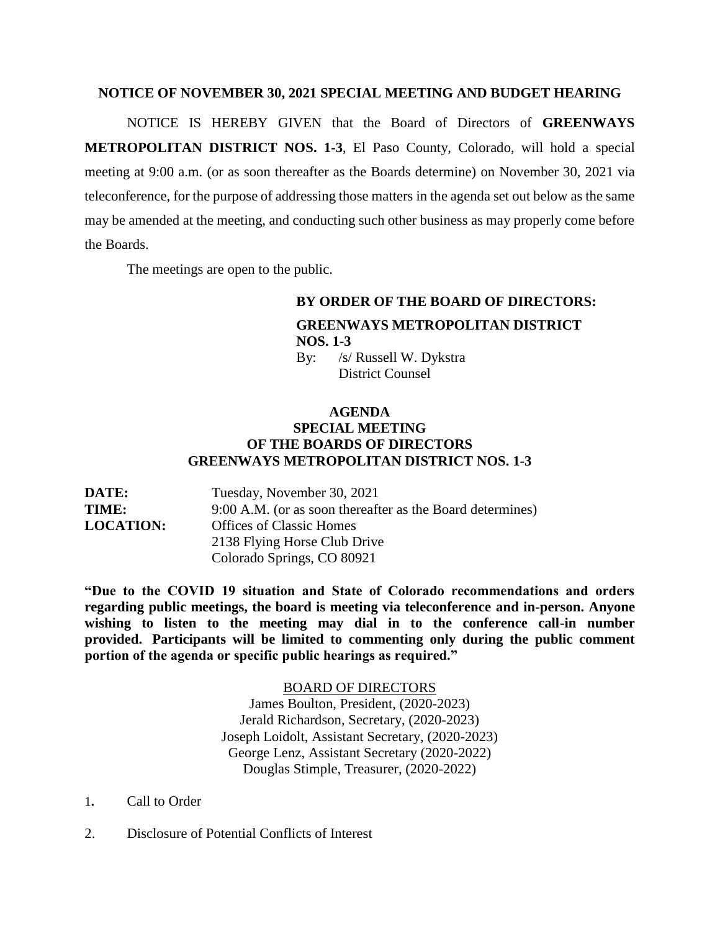## **NOTICE OF NOVEMBER 30, 2021 SPECIAL MEETING AND BUDGET HEARING**

NOTICE IS HEREBY GIVEN that the Board of Directors of **GREENWAYS METROPOLITAN DISTRICT NOS. 1-3**, El Paso County, Colorado, will hold a special meeting at 9:00 a.m. (or as soon thereafter as the Boards determine) on November 30, 2021 via teleconference, for the purpose of addressing those matters in the agenda set out below as the same may be amended at the meeting, and conducting such other business as may properly come before the Boards.

The meetings are open to the public.

## **BY ORDER OF THE BOARD OF DIRECTORS: GREENWAYS METROPOLITAN DISTRICT NOS. 1-3** By: /s/ Russell W. Dykstra

District Counsel

## **AGENDA SPECIAL MEETING OF THE BOARDS OF DIRECTORS GREENWAYS METROPOLITAN DISTRICT NOS. 1-3**

| <b>DATE:</b>     | Tuesday, November 30, 2021                                |
|------------------|-----------------------------------------------------------|
| <b>TIME:</b>     | 9:00 A.M. (or as soon thereafter as the Board determines) |
| <b>LOCATION:</b> | <b>Offices of Classic Homes</b>                           |
|                  | 2138 Flying Horse Club Drive                              |
|                  | Colorado Springs, CO 80921                                |

**"Due to the COVID 19 situation and State of Colorado recommendations and orders regarding public meetings, the board is meeting via teleconference and in-person. Anyone wishing to listen to the meeting may dial in to the conference call-in number provided. Participants will be limited to commenting only during the public comment portion of the agenda or specific public hearings as required."**

> BOARD OF DIRECTORS James Boulton, President, (2020-2023) Jerald Richardson, Secretary, (2020-2023) Joseph Loidolt, Assistant Secretary, (2020-2023) George Lenz, Assistant Secretary (2020-2022) Douglas Stimple, Treasurer, (2020-2022)

- 1**.** Call to Order
- 2. Disclosure of Potential Conflicts of Interest